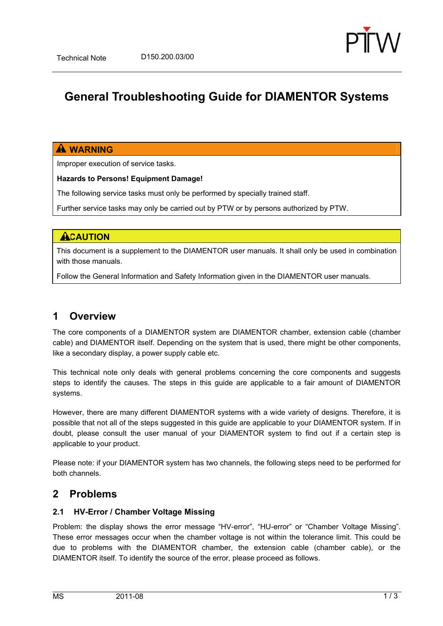

# **General Troubleshooting Guide for DIAMENTOR Systems**

### **A** WARNING

Improper execution of service tasks.

**Hazards to Persons! Equipment Damage!** 

The following service tasks must only be performed by specially trained staff.

Further service tasks may only be carried out by PTW or by persons authorized by PTW.

#### **ACAUTION**

This document is a supplement to the DIAMENTOR user manuals. It shall only be used in combination with those manuals.

Follow the General Information and Safety Information given in the DIAMENTOR user manuals.

# **1 Overview**

The core components of a DIAMENTOR system are DIAMENTOR chamber, extension cable (chamber cable) and DIAMENTOR itself. Depending on the system that is used, there might be other components, like a secondary display, a power supply cable etc.

This technical note only deals with general problems concerning the core components and suggests steps to identify the causes. The steps in this guide are applicable to a fair amount of DIAMENTOR systems.

However, there are many different DIAMENTOR systems with a wide variety of designs. Therefore, it is possible that not all of the steps suggested in this guide are applicable to your DIAMENTOR system. If in doubt, please consult the user manual of your DIAMENTOR system to find out if a certain step is applicable to your product.

Please note: if your DIAMENTOR system has two channels, the following steps need to be performed for both channels.

## **2 Problems**

#### **2.1 HV-Error / Chamber Voltage Missing**

Problem: the display shows the error message "HV-error", "HU-error" or "Chamber Voltage Missing". These error messages occur when the chamber voltage is not within the tolerance limit. This could be due to problems with the DIAMENTOR chamber, the extension cable (chamber cable), or the DIAMENTOR itself. To identify the source of the error, please proceed as follows.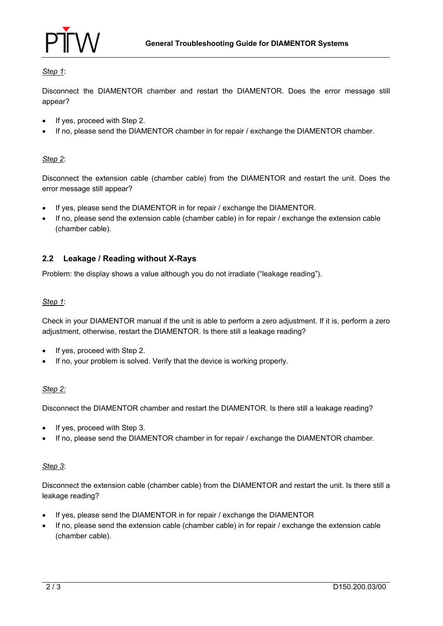

#### *Step 1*:

Disconnect the DIAMENTOR chamber and restart the DIAMENTOR. Does the error message still appear?

- If yes, proceed with Step 2.
- If no, please send the DIAMENTOR chamber in for repair / exchange the DIAMENTOR chamber.

#### *Step 2*:

Disconnect the extension cable (chamber cable) from the DIAMENTOR and restart the unit. Does the error message still appear?

- If yes, please send the DIAMENTOR in for repair / exchange the DIAMENTOR.
- If no, please send the extension cable (chamber cable) in for repair / exchange the extension cable (chamber cable).

#### **2.2 Leakage / Reading without X-Rays**

Problem: the display shows a value although you do not irradiate ("leakage reading").

#### *Step 1*:

Check in your DIAMENTOR manual if the unit is able to perform a zero adjustment. If it is, perform a zero adjustment, otherwise, restart the DIAMENTOR. Is there still a leakage reading?

- If yes, proceed with Step 2.
- If no, your problem is solved. Verify that the device is working properly.

#### *Step 2:*

Disconnect the DIAMENTOR chamber and restart the DIAMENTOR. Is there still a leakage reading?

- If yes, proceed with Step 3.
- If no, please send the DIAMENTOR chamber in for repair / exchange the DIAMENTOR chamber.

#### *Step 3*:

Disconnect the extension cable (chamber cable) from the DIAMENTOR and restart the unit. Is there still a leakage reading?

- If yes, please send the DIAMENTOR in for repair / exchange the DIAMENTOR
- If no, please send the extension cable (chamber cable) in for repair / exchange the extension cable (chamber cable).